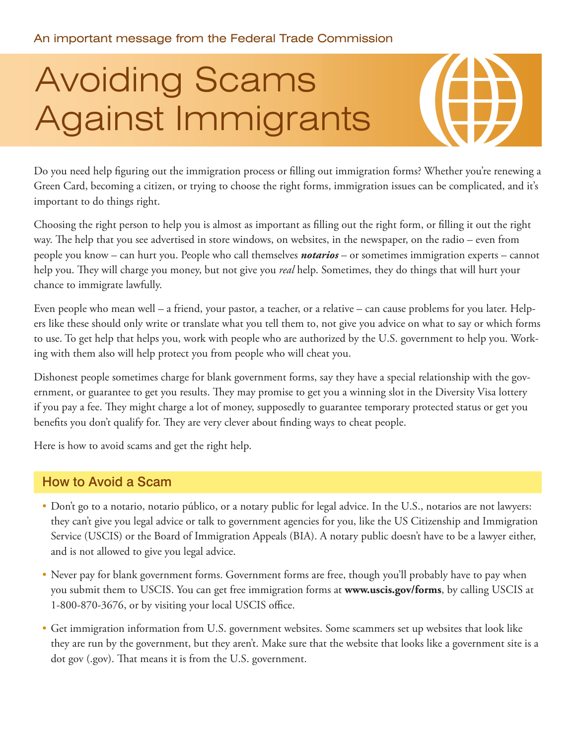# Avoiding Scams Against Immigrants

Do you need help figuring out the immigration process or filling out immigration forms? Whether you're renewing a Green Card, becoming a citizen, or trying to choose the right forms, immigration issues can be complicated, and it's important to do things right.

Choosing the right person to help you is almost as important as filling out the right form, or filling it out the right way. The help that you see advertised in store windows, on websites, in the newspaper, on the radio – even from people you know – can hurt you. People who call themselves *notarios* – or sometimes immigration experts – cannot help you. They will charge you money, but not give you *real* help. Sometimes, they do things that will hurt your chance to immigrate lawfully.

Even people who mean well – a friend, your pastor, a teacher, or a relative – can cause problems for you later. Helpers like these should only write or translate what you tell them to, not give you advice on what to say or which forms to use. To get help that helps you, work with people who are authorized by the U.S. government to help you. Working with them also will help protect you from people who will cheat you.

Dishonest people sometimes charge for blank government forms, say they have a special relationship with the government, or guarantee to get you results. They may promise to get you a winning slot in the Diversity Visa lottery if you pay a fee. They might charge a lot of money, supposedly to guarantee temporary protected status or get you benefits you don't qualify for. They are very clever about finding ways to cheat people.

Here is how to avoid scams and get the right help.

## How to Avoid a Scam

- Don't go to a notario, notario público, or a notary public for legal advice. In the U.S., notarios are not lawyers: they can't give you legal advice or talk to government agencies for you, like the US Citizenship and Immigration Service (USCIS) or the Board of Immigration Appeals (BIA). A notary public doesn't have to be a lawyer either, and is not allowed to give you legal advice.
- Never pay for blank government forms. Government forms are free, though you'll probably have to pay when you submit them to USCIS. You can get free immigration forms at **[www.uscis.gov/forms](http://www.uscis.gov/forms)**, by calling USCIS at 1-800-870-3676, or by visiting your local USCIS office.
- Get immigration information from U.S. government websites. Some scammers set up websites that look like they are run by the government, but they aren't. Make sure that the website that looks like a government site is a dot gov (.gov). That means it is from the U.S. government.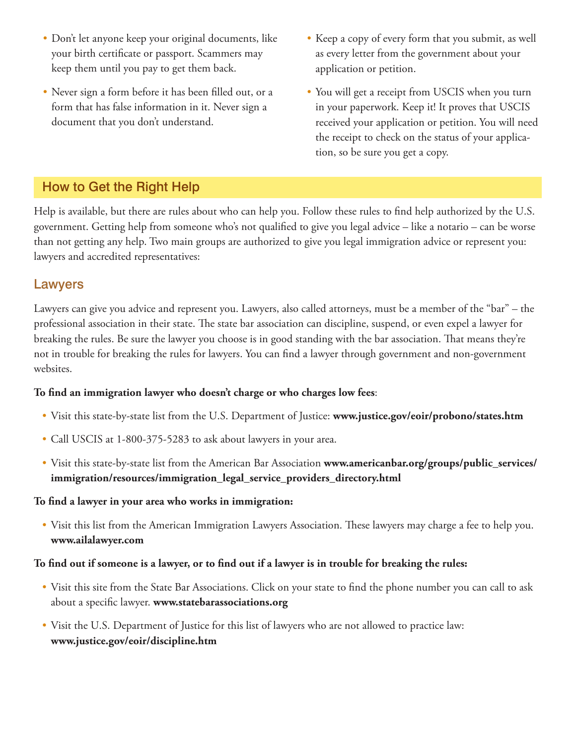- • Don't let anyone keep your original documents, like your birth certificate or passport. Scammers may keep them until you pay to get them back.
- • Never sign a form before it has been filled out, or a form that has false information in it. Never sign a document that you don't understand.
- • Keep a copy of every form that you submit, as well as every letter from the government about your application or petition.
- You will get a receipt from USCIS when you turn in your paperwork. Keep it! It proves that USCIS received your application or petition. You will need the receipt to check on the status of your application, so be sure you get a copy.

# How to Get the Right Help

Help is available, but there are rules about who can help you. Follow these rules to find help authorized by the U.S. government. Getting help from someone who's not qualified to give you legal advice – like a notario – can be worse than not getting any help. Two main groups are authorized to give you legal immigration advice or represent you: lawyers and accredited representatives:

## Lawyers

Lawyers can give you advice and represent you. Lawyers, also called attorneys, must be a member of the "bar" – the professional association in their state. The state bar association can discipline, suspend, or even expel a lawyer for breaking the rules. Be sure the lawyer you choose is in good standing with the bar association. That means they're not in trouble for breaking the rules for lawyers. You can find a lawyer through government and non-government websites.

#### **To find an immigration lawyer who doesn't charge or who charges low fees**:

- • Visit this state-by-state list from the U.S. Department of Justice: **[www.justice.gov/eoir/probono/states.htm](http://www.justice.gov/eoir/probono/states.htm)**
- Call USCIS at 1-800-375-5283 to ask about lawyers in your area.
- • Visit this state-by-state list from the American Bar Association **[www.americanbar.org/groups/public\\_services/](http://www.americanbar.org/groups/public_services/immigration/resources/immigration_legal_service_providers_directory.html) [immigration/resources/immigration\\_legal\\_service\\_providers\\_directory.html](http://www.americanbar.org/groups/public_services/immigration/resources/immigration_legal_service_providers_directory.html)**

#### **To find a lawyer in your area who works in immigration:**

• Visit this list from the American Immigration Lawyers Association. These lawyers may charge a fee to help you. **www.ailalawyer.com**

#### **To find out if someone is a lawyer, or to find out if a lawyer is in trouble for breaking the rules:**

- • Visit this site from the State Bar Associations. Click on your state to find the phone number you can call to ask about a specific lawyer. **[www.statebarassociations.org](http://www.statebarassociations.org)**
- Visit the U.S. Department of Justice for this list of lawyers who are not allowed to practice law: **[www.justice.gov/eoir/discipline.htm](http://www.justice.gov/eoir/discipline.htm)**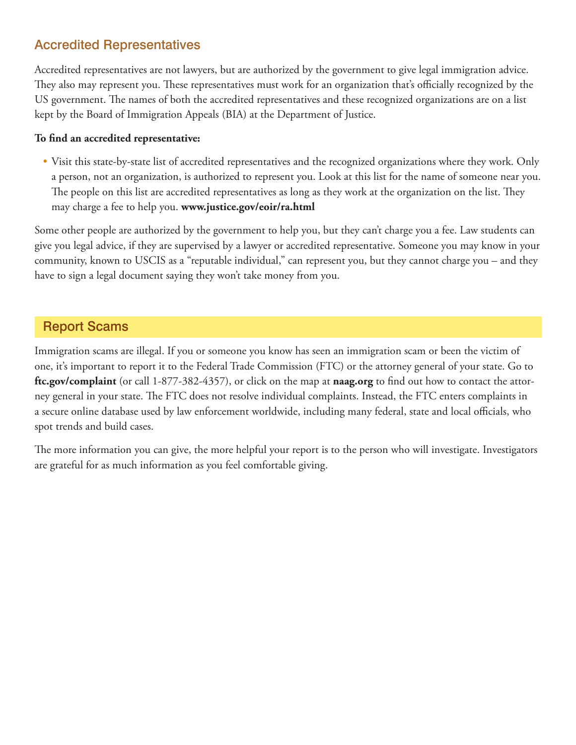# Accredited Representatives

Accredited representatives are not lawyers, but are authorized by the government to give legal immigration advice. They also may represent you. These representatives must work for an organization that's officially recognized by the US government. The names of both the accredited representatives and these recognized organizations are on a list kept by the Board of Immigration Appeals (BIA) at the Department of Justice.

#### **To find an accredited representative:**

• Visit this state-by-state list of accredited representatives and the recognized organizations where they work. Only a person, not an organization, is authorized to represent you. Look at this list for the name of someone near you. The people on this list are accredited representatives as long as they work at the organization on the list. They may charge a fee to help you. **[www.justice.gov/eoir/ra.html](http://http://www.justice.gov/eoir/ra.html)**

Some other people are authorized by the government to help you, but they can't charge you a fee. Law students can give you legal advice, if they are supervised by a lawyer or accredited representative. Someone you may know in your community, known to USCIS as a "reputable individual," can represent you, but they cannot charge you – and they have to sign a legal document saying they won't take money from you.

# Report Scams

Immigration scams are illegal. If you or someone you know has seen an immigration scam or been the victim of one, it's important to report it to the Federal Trade Commission (FTC) or the attorney general of your state. Go to **[ftc.gov/complaint](http://www.ftc.gov/complaint)** (or call 1-877-382-4357), or click on the map at **[naag.org](http://www.naag.org)** to find out how to contact the attorney general in your state. The FTC does not resolve individual complaints. Instead, the FTC enters complaints in a secure online database used by law enforcement worldwide, including many federal, state and local officials, who spot trends and build cases.

The more information you can give, the more helpful your report is to the person who will investigate. Investigators are grateful for as much information as you feel comfortable giving.